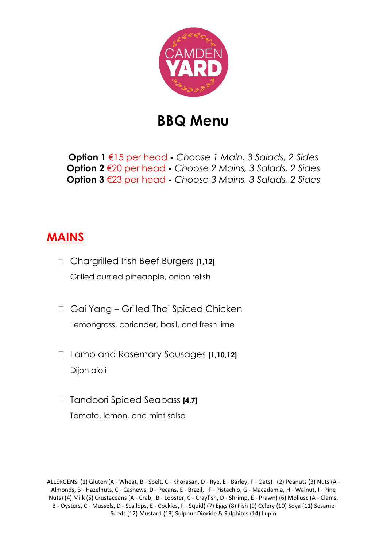

## **BBQ Menu**

**Option 1** €15 per head **-** *Choose 1 Main, 3 Salads, 2 Sides* **Option 2** €20 per head **-** *Choose 2 Mains, 3 Salads, 2 Sides* **Option 3** €23 per head **-** *Choose 3 Mains, 3 Salads, 2 Sides*

## **MAINS**

- Chargrilled Irish Beef Burgers **[1,12]** Grilled curried pineapple, onion relish
- □ Gai Yang Grilled Thai Spiced Chicken Lemongrass, coriander, basil, and fresh lime
- Lamb and Rosemary Sausages **[1,10,12]** Dijon aioli
- □ Tandoori Spiced Seabass **[4,7]** Tomato, lemon, and mint salsa

ALLERGENS: (1) Gluten (A - Wheat, B - Spelt, C - Khorasan, D - Rye, E - Barley, F - Oats) (2) Peanuts (3) Nuts (A - Almonds, B - Hazelnuts, C - Cashews, D - Pecans, E - Brazil, F - Pistachio, G - Macadamia, H - Walnut, I - Pine Nuts) (4) Milk (5) Crustaceans (A - Crab, B - Lobster, C - Crayfish, D - Shrimp, E - Prawn) (6) Mollusc (A - Clams, B - Oysters, C - Mussels, D - Scallops, E - Cockles, F - Squid) (7) Eggs (8) Fish (9) Celery (10) Soya (11) Sesame Seeds (12) Mustard (13) Sulphur Dioxide & Sulphites (14) Lupin